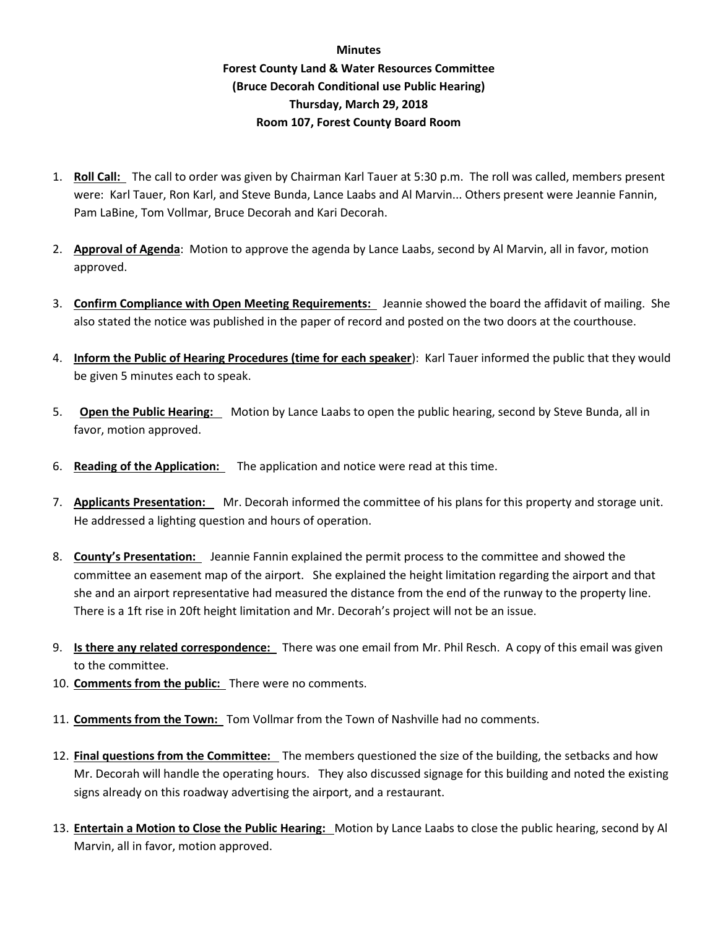## **Minutes Forest County Land & Water Resources Committee (Bruce Decorah Conditional use Public Hearing) Thursday, March 29, 2018 Room 107, Forest County Board Room**

- 1. **Roll Call:** The call to order was given by Chairman Karl Tauer at 5:30 p.m. The roll was called, members present were: Karl Tauer, Ron Karl, and Steve Bunda, Lance Laabs and Al Marvin... Others present were Jeannie Fannin, Pam LaBine, Tom Vollmar, Bruce Decorah and Kari Decorah.
- 2. **Approval of Agenda**: Motion to approve the agenda by Lance Laabs, second by Al Marvin, all in favor, motion approved.
- 3. **Confirm Compliance with Open Meeting Requirements:** Jeannie showed the board the affidavit of mailing. She also stated the notice was published in the paper of record and posted on the two doors at the courthouse.
- 4. **Inform the Public of Hearing Procedures (time for each speaker**): Karl Tauer informed the public that they would be given 5 minutes each to speak.
- 5. **Open the Public Hearing:** Motion by Lance Laabs to open the public hearing, second by Steve Bunda, all in favor, motion approved.
- 6. **Reading of the Application:** The application and notice were read at this time.
- 7. **Applicants Presentation:** Mr. Decorah informed the committee of his plans for this property and storage unit. He addressed a lighting question and hours of operation.
- 8. **County's Presentation:** Jeannie Fannin explained the permit process to the committee and showed the committee an easement map of the airport. She explained the height limitation regarding the airport and that she and an airport representative had measured the distance from the end of the runway to the property line. There is a 1ft rise in 20ft height limitation and Mr. Decorah's project will not be an issue.
- 9. **Is there any related correspondence:** There was one email from Mr. Phil Resch. A copy of this email was given to the committee.
- 10. **Comments from the public:** There were no comments.
- 11. **Comments from the Town:** Tom Vollmar from the Town of Nashville had no comments.
- 12. **Final questions from the Committee:** The members questioned the size of the building, the setbacks and how Mr. Decorah will handle the operating hours. They also discussed signage for this building and noted the existing signs already on this roadway advertising the airport, and a restaurant.
- 13. **Entertain a Motion to Close the Public Hearing:** Motion by Lance Laabs to close the public hearing, second by Al Marvin, all in favor, motion approved.